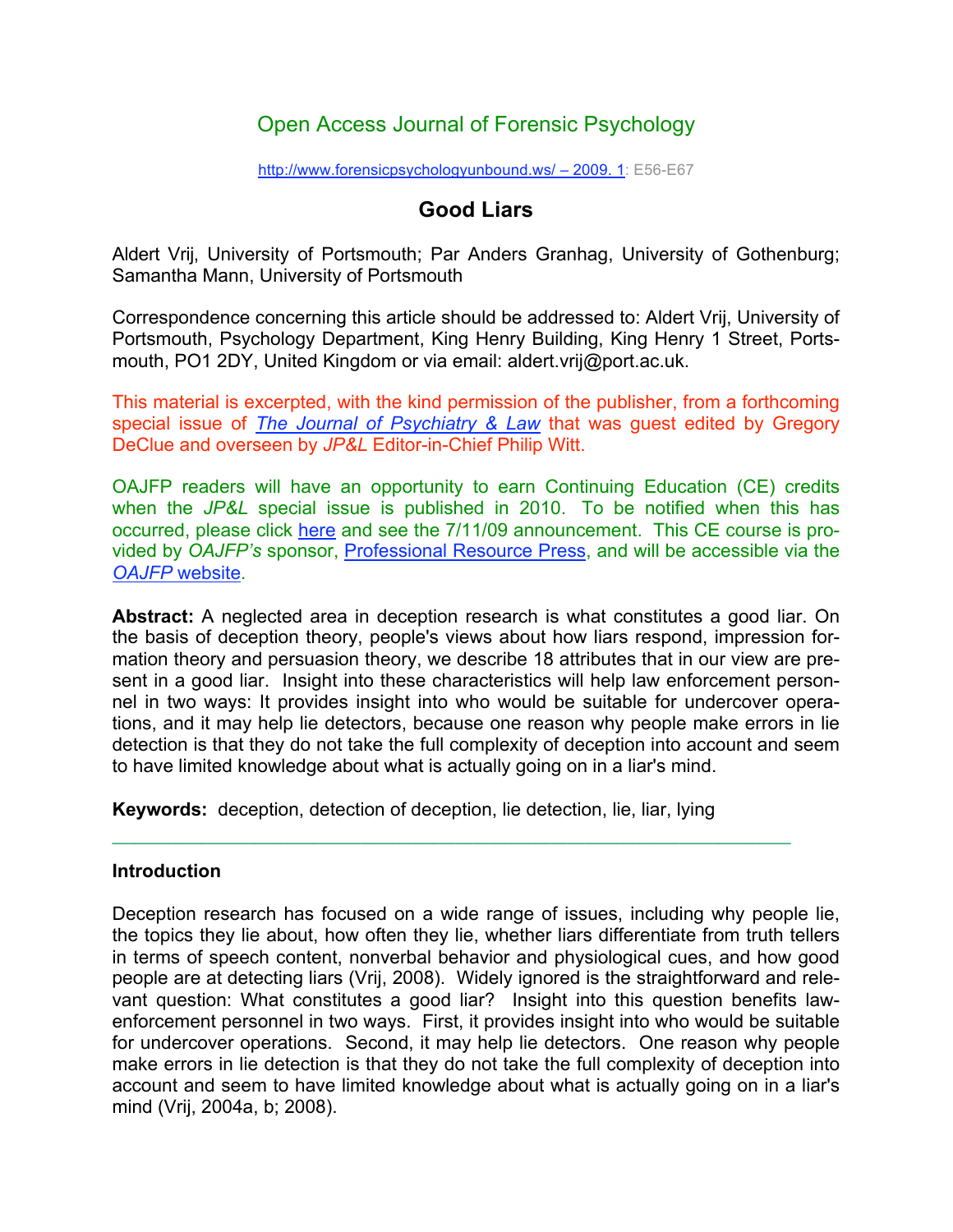## Open Access Journal of Forensic Psychology

http://www.forensicpsychologyunbound.ws/ – 2009. 1: E56-E67

### **Good Liars**

Aldert Vrij, University of Portsmouth; Par Anders Granhag, University of Gothenburg; Samantha Mann, University of Portsmouth

Correspondence concerning this article should be addressed to: Aldert Vrij, University of Portsmouth, Psychology Department, King Henry Building, King Henry 1 Street, Portsmouth, PO1 2DY, United Kingdom or via email: aldert.vrij@port.ac.uk.

This material is excerpted, with the kind permission of the publisher, from a forthcoming special issue of *The Journal of Psychiatry & Law* that was guest edited by Gregory DeClue and overseen by *JP&L* Editor-in-Chief Philip Witt.

OAJFP readers will have an opportunity to earn Continuing Education (CE) credits when the *JP&L* special issue is published in 2010. To be notified when this has occurred, please click here and see the 7/11/09 announcement. This CE course is provided by *OAJFP's* sponsor, Professional Resource Press, and will be accessible via the *OAJFP* website.

**Abstract:** A neglected area in deception research is what constitutes a good liar. On the basis of deception theory, people's views about how liars respond, impression formation theory and persuasion theory, we describe 18 attributes that in our view are present in a good liar. Insight into these characteristics will help law enforcement personnel in two ways: It provides insight into who would be suitable for undercover operations, and it may help lie detectors, because one reason why people make errors in lie detection is that they do not take the full complexity of deception into account and seem to have limited knowledge about what is actually going on in a liar's mind.

**Keywords:** deception, detection of deception, lie detection, lie, liar, lying

**¯¯¯¯¯¯¯¯¯¯¯¯¯¯¯¯¯¯¯¯¯¯¯¯¯¯¯¯¯¯¯¯¯¯¯¯¯¯¯¯¯¯¯¯¯¯¯¯¯¯¯¯¯¯¯¯¯¯¯¯¯¯¯¯¯¯¯¯¯¯¯¯¯¯¯¯¯¯¯**

#### **Introduction**

Deception research has focused on a wide range of issues, including why people lie, the topics they lie about, how often they lie, whether liars differentiate from truth tellers in terms of speech content, nonverbal behavior and physiological cues, and how good people are at detecting liars (Vrij, 2008). Widely ignored is the straightforward and relevant question: What constitutes a good liar? Insight into this question benefits lawenforcement personnel in two ways. First, it provides insight into who would be suitable for undercover operations. Second, it may help lie detectors. One reason why people make errors in lie detection is that they do not take the full complexity of deception into account and seem to have limited knowledge about what is actually going on in a liar's mind (Vrij, 2004a, b; 2008).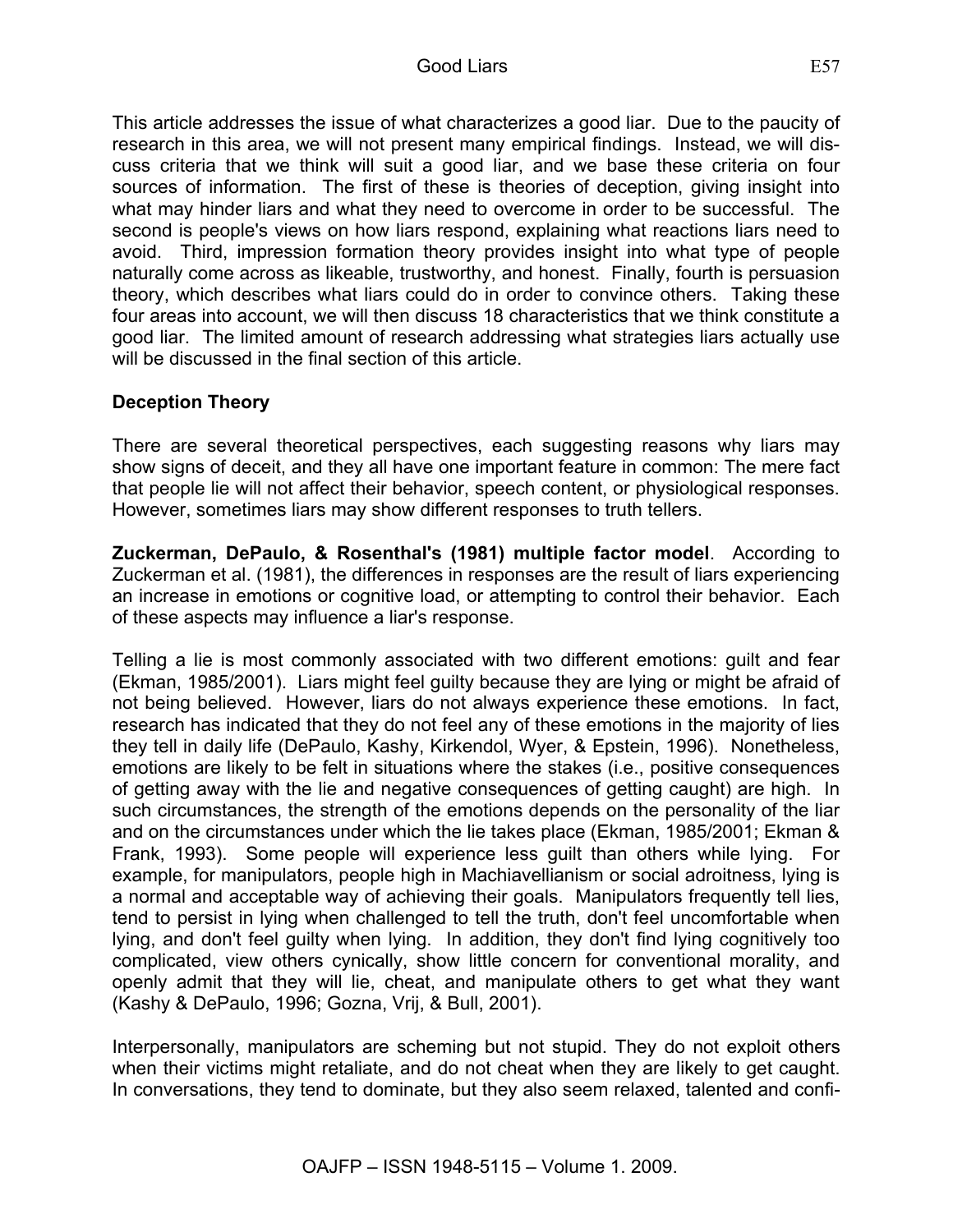This article addresses the issue of what characterizes a good liar. Due to the paucity of research in this area, we will not present many empirical findings. Instead, we will discuss criteria that we think will suit a good liar, and we base these criteria on four sources of information. The first of these is theories of deception, giving insight into what may hinder liars and what they need to overcome in order to be successful. The second is people's views on how liars respond, explaining what reactions liars need to avoid. Third, impression formation theory provides insight into what type of people naturally come across as likeable, trustworthy, and honest. Finally, fourth is persuasion theory, which describes what liars could do in order to convince others. Taking these four areas into account, we will then discuss 18 characteristics that we think constitute a good liar. The limited amount of research addressing what strategies liars actually use will be discussed in the final section of this article.

### **Deception Theory**

There are several theoretical perspectives, each suggesting reasons why liars may show signs of deceit, and they all have one important feature in common: The mere fact that people lie will not affect their behavior, speech content, or physiological responses. However, sometimes liars may show different responses to truth tellers.

**Zuckerman, DePaulo, & Rosenthal's (1981) multiple factor model**. According to Zuckerman et al. (1981), the differences in responses are the result of liars experiencing an increase in emotions or cognitive load, or attempting to control their behavior. Each of these aspects may influence a liar's response.

Telling a lie is most commonly associated with two different emotions: guilt and fear (Ekman, 1985/2001). Liars might feel guilty because they are lying or might be afraid of not being believed. However, liars do not always experience these emotions. In fact, research has indicated that they do not feel any of these emotions in the majority of lies they tell in daily life (DePaulo, Kashy, Kirkendol, Wyer, & Epstein, 1996). Nonetheless, emotions are likely to be felt in situations where the stakes (i.e., positive consequences of getting away with the lie and negative consequences of getting caught) are high. In such circumstances, the strength of the emotions depends on the personality of the liar and on the circumstances under which the lie takes place (Ekman, 1985/2001; Ekman & Frank, 1993). Some people will experience less guilt than others while lying. For example, for manipulators, people high in Machiavellianism or social adroitness, lying is a normal and acceptable way of achieving their goals. Manipulators frequently tell lies, tend to persist in lying when challenged to tell the truth, don't feel uncomfortable when lying, and don't feel guilty when lying. In addition, they don't find lying cognitively too complicated, view others cynically, show little concern for conventional morality, and openly admit that they will lie, cheat, and manipulate others to get what they want (Kashy & DePaulo, 1996; Gozna, Vrij, & Bull, 2001).

Interpersonally, manipulators are scheming but not stupid. They do not exploit others when their victims might retaliate, and do not cheat when they are likely to get caught. In conversations, they tend to dominate, but they also seem relaxed, talented and confi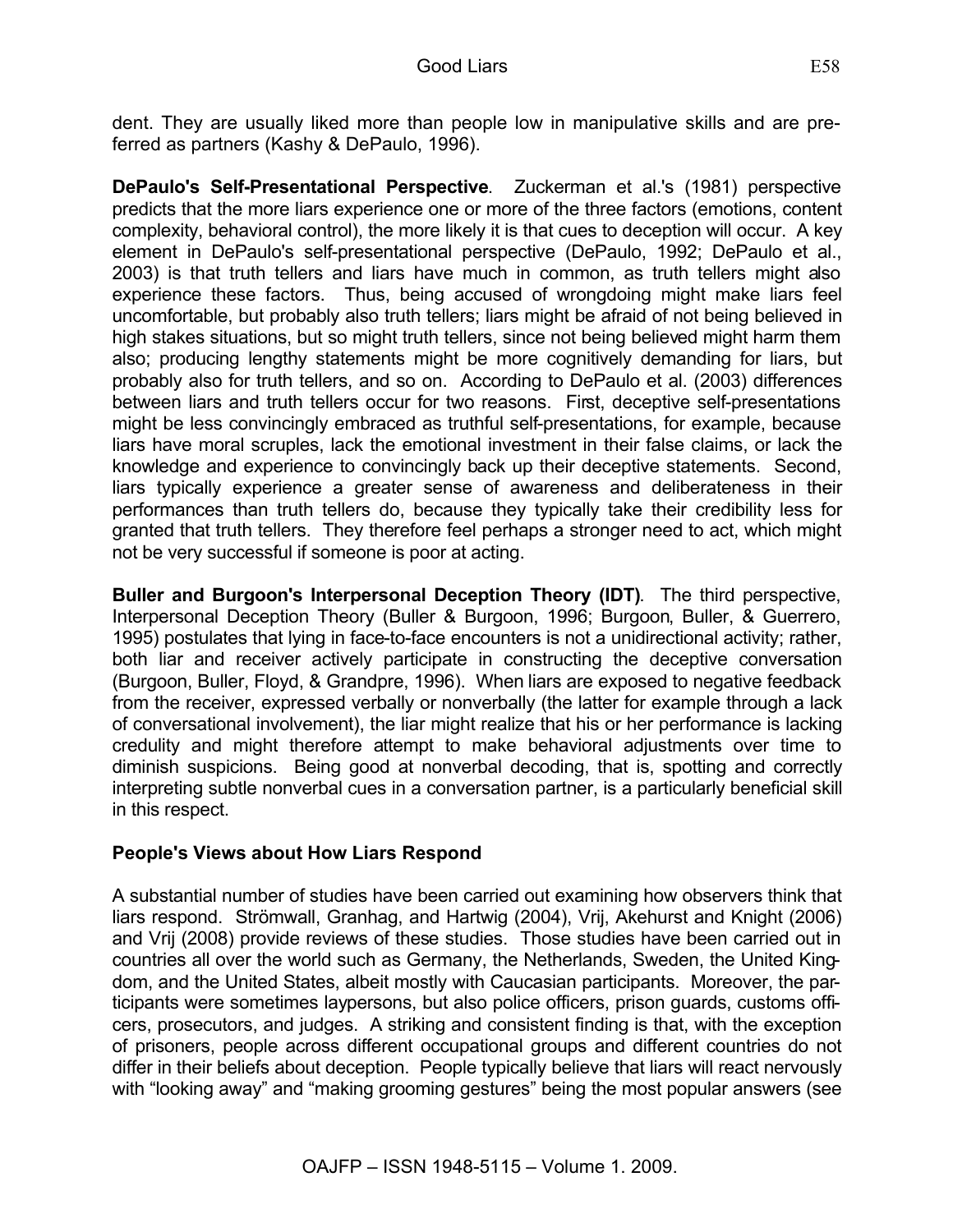dent. They are usually liked more than people low in manipulative skills and are preferred as partners (Kashy & DePaulo, 1996).

**DePaulo's Self-Presentational Perspective**. Zuckerman et al.'s (1981) perspective predicts that the more liars experience one or more of the three factors (emotions, content complexity, behavioral control), the more likely it is that cues to deception will occur. A key element in DePaulo's self-presentational perspective (DePaulo, 1992; DePaulo et al., 2003) is that truth tellers and liars have much in common, as truth tellers might also experience these factors. Thus, being accused of wrongdoing might make liars feel uncomfortable, but probably also truth tellers; liars might be afraid of not being believed in high stakes situations, but so might truth tellers, since not being believed might harm them also; producing lengthy statements might be more cognitively demanding for liars, but probably also for truth tellers, and so on. According to DePaulo et al. (2003) differences between liars and truth tellers occur for two reasons. First, deceptive self-presentations might be less convincingly embraced as truthful self-presentations, for example, because liars have moral scruples, lack the emotional investment in their false claims, or lack the knowledge and experience to convincingly back up their deceptive statements. Second, liars typically experience a greater sense of awareness and deliberateness in their performances than truth tellers do, because they typically take their credibility less for granted that truth tellers. They therefore feel perhaps a stronger need to act, which might not be very successful if someone is poor at acting.

**Buller and Burgoon's Interpersonal Deception Theory (IDT)**. The third perspective, Interpersonal Deception Theory (Buller & Burgoon, 1996; Burgoon, Buller, & Guerrero, 1995) postulates that lying in face-to-face encounters is not a unidirectional activity; rather, both liar and receiver actively participate in constructing the deceptive conversation (Burgoon, Buller, Floyd, & Grandpre, 1996). When liars are exposed to negative feedback from the receiver, expressed verbally or nonverbally (the latter for example through a lack of conversational involvement), the liar might realize that his or her performance is lacking credulity and might therefore attempt to make behavioral adjustments over time to diminish suspicions. Being good at nonverbal decoding, that is, spotting and correctly interpreting subtle nonverbal cues in a conversation partner, is a particularly beneficial skill in this respect.

# **People's Views about How Liars Respond**

A substantial number of studies have been carried out examining how observers think that liars respond. Strömwall, Granhag, and Hartwig (2004), Vrij, Akehurst and Knight (2006) and Vrij (2008) provide reviews of these studies. Those studies have been carried out in countries all over the world such as Germany, the Netherlands, Sweden, the United Kingdom, and the United States, albeit mostly with Caucasian participants. Moreover, the participants were sometimes laypersons, but also police officers, prison guards, customs officers, prosecutors, and judges. A striking and consistent finding is that, with the exception of prisoners, people across different occupational groups and different countries do not differ in their beliefs about deception. People typically believe that liars will react nervously with "looking away" and "making grooming gestures" being the most popular answers (see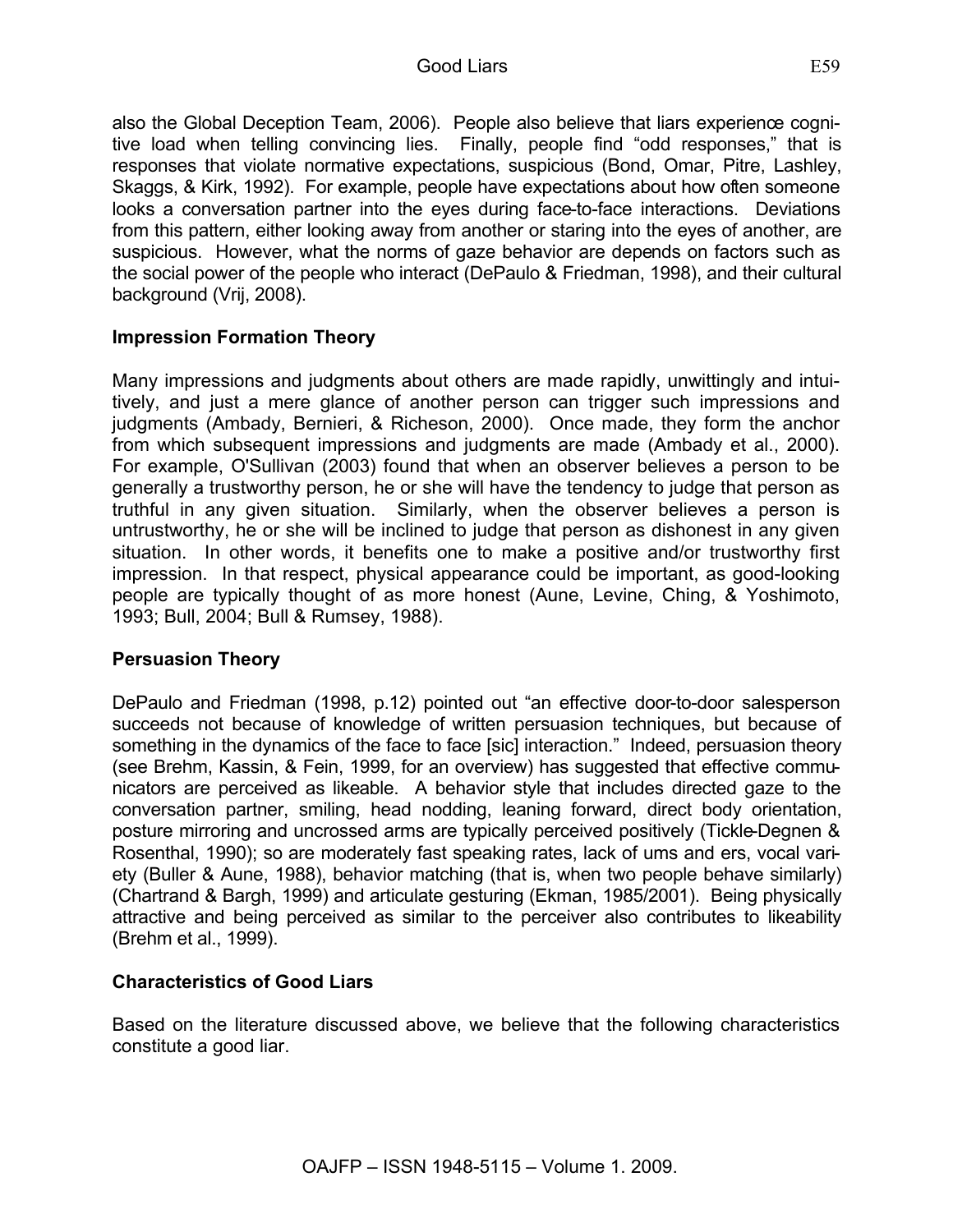also the Global Deception Team, 2006). People also believe that liars experience cognitive load when telling convincing lies. Finally, people find "odd responses," that is responses that violate normative expectations, suspicious (Bond, Omar, Pitre, Lashley, Skaggs, & Kirk, 1992). For example, people have expectations about how often someone looks a conversation partner into the eyes during face-to-face interactions. Deviations from this pattern, either looking away from another or staring into the eyes of another, are suspicious. However, what the norms of gaze behavior are depends on factors such as the social power of the people who interact (DePaulo & Friedman, 1998), and their cultural background (Vrij, 2008).

#### **Impression Formation Theory**

Many impressions and judgments about others are made rapidly, unwittingly and intuitively, and just a mere glance of another person can trigger such impressions and judgments (Ambady, Bernieri, & Richeson, 2000). Once made, they form the anchor from which subsequent impressions and judgments are made (Ambady et al., 2000). For example, O'Sullivan (2003) found that when an observer believes a person to be generally a trustworthy person, he or she will have the tendency to judge that person as truthful in any given situation. Similarly, when the observer believes a person is untrustworthy, he or she will be inclined to judge that person as dishonest in any given situation. In other words, it benefits one to make a positive and/or trustworthy first impression. In that respect, physical appearance could be important, as good-looking people are typically thought of as more honest (Aune, Levine, Ching, & Yoshimoto, 1993; Bull, 2004; Bull & Rumsey, 1988).

#### **Persuasion Theory**

DePaulo and Friedman (1998, p.12) pointed out "an effective door-to-door salesperson succeeds not because of knowledge of written persuasion techniques, but because of something in the dynamics of the face to face [sic] interaction." Indeed, persuasion theory (see Brehm, Kassin, & Fein, 1999, for an overview) has suggested that effective communicators are perceived as likeable. A behavior style that includes directed gaze to the conversation partner, smiling, head nodding, leaning forward, direct body orientation, posture mirroring and uncrossed arms are typically perceived positively (Tickle-Degnen & Rosenthal, 1990); so are moderately fast speaking rates, lack of ums and ers, vocal variety (Buller & Aune, 1988), behavior matching (that is, when two people behave similarly) (Chartrand & Bargh, 1999) and articulate gesturing (Ekman, 1985/2001). Being physically attractive and being perceived as similar to the perceiver also contributes to likeability (Brehm et al., 1999).

#### **Characteristics of Good Liars**

Based on the literature discussed above, we believe that the following characteristics constitute a good liar.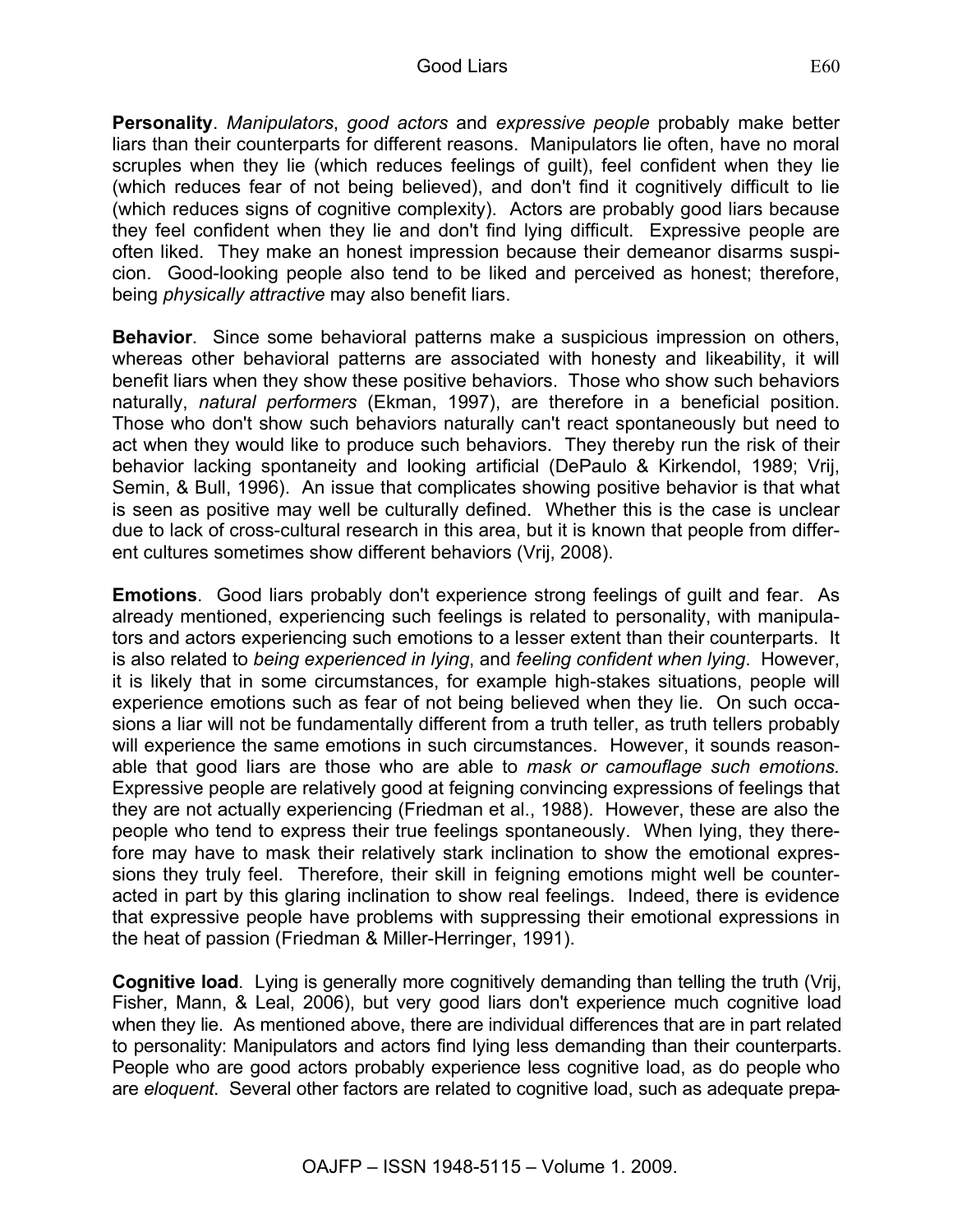**Personality**. *Manipulators*, *good actors* and *expressive people* probably make better liars than their counterparts for different reasons. Manipulators lie often, have no moral scruples when they lie (which reduces feelings of guilt), feel confident when they lie (which reduces fear of not being believed), and don't find it cognitively difficult to lie (which reduces signs of cognitive complexity). Actors are probably good liars because they feel confident when they lie and don't find lying difficult. Expressive people are often liked. They make an honest impression because their demeanor disarms suspicion. Good-looking people also tend to be liked and perceived as honest; therefore, being *physically attractive* may also benefit liars.

**Behavior**. Since some behavioral patterns make a suspicious impression on others, whereas other behavioral patterns are associated with honesty and likeability, it will benefit liars when they show these positive behaviors. Those who show such behaviors naturally, *natural performers* (Ekman, 1997), are therefore in a beneficial position. Those who don't show such behaviors naturally can't react spontaneously but need to act when they would like to produce such behaviors. They thereby run the risk of their behavior lacking spontaneity and looking artificial (DePaulo & Kirkendol, 1989; Vrij, Semin, & Bull, 1996). An issue that complicates showing positive behavior is that what is seen as positive may well be culturally defined. Whether this is the case is unclear due to lack of cross-cultural research in this area, but it is known that people from different cultures sometimes show different behaviors (Vrij, 2008).

**Emotions**. Good liars probably don't experience strong feelings of guilt and fear. As already mentioned, experiencing such feelings is related to personality, with manipulators and actors experiencing such emotions to a lesser extent than their counterparts. It is also related to *being experienced in lying*, and *feeling confident when lying*. However, it is likely that in some circumstances, for example high-stakes situations, people will experience emotions such as fear of not being believed when they lie. On such occasions a liar will not be fundamentally different from a truth teller, as truth tellers probably will experience the same emotions in such circumstances. However, it sounds reasonable that good liars are those who are able to *mask or camouflage such emotions.*  Expressive people are relatively good at feigning convincing expressions of feelings that they are not actually experiencing (Friedman et al., 1988). However, these are also the people who tend to express their true feelings spontaneously. When lying, they therefore may have to mask their relatively stark inclination to show the emotional expressions they truly feel. Therefore, their skill in feigning emotions might well be counteracted in part by this glaring inclination to show real feelings. Indeed, there is evidence that expressive people have problems with suppressing their emotional expressions in the heat of passion (Friedman & Miller-Herringer, 1991).

**Cognitive load**. Lying is generally more cognitively demanding than telling the truth (Vrij, Fisher, Mann, & Leal, 2006), but very good liars don't experience much cognitive load when they lie. As mentioned above, there are individual differences that are in part related to personality: Manipulators and actors find lying less demanding than their counterparts. People who are good actors probably experience less cognitive load, as do people who are *eloquent*. Several other factors are related to cognitive load, such as adequate prepa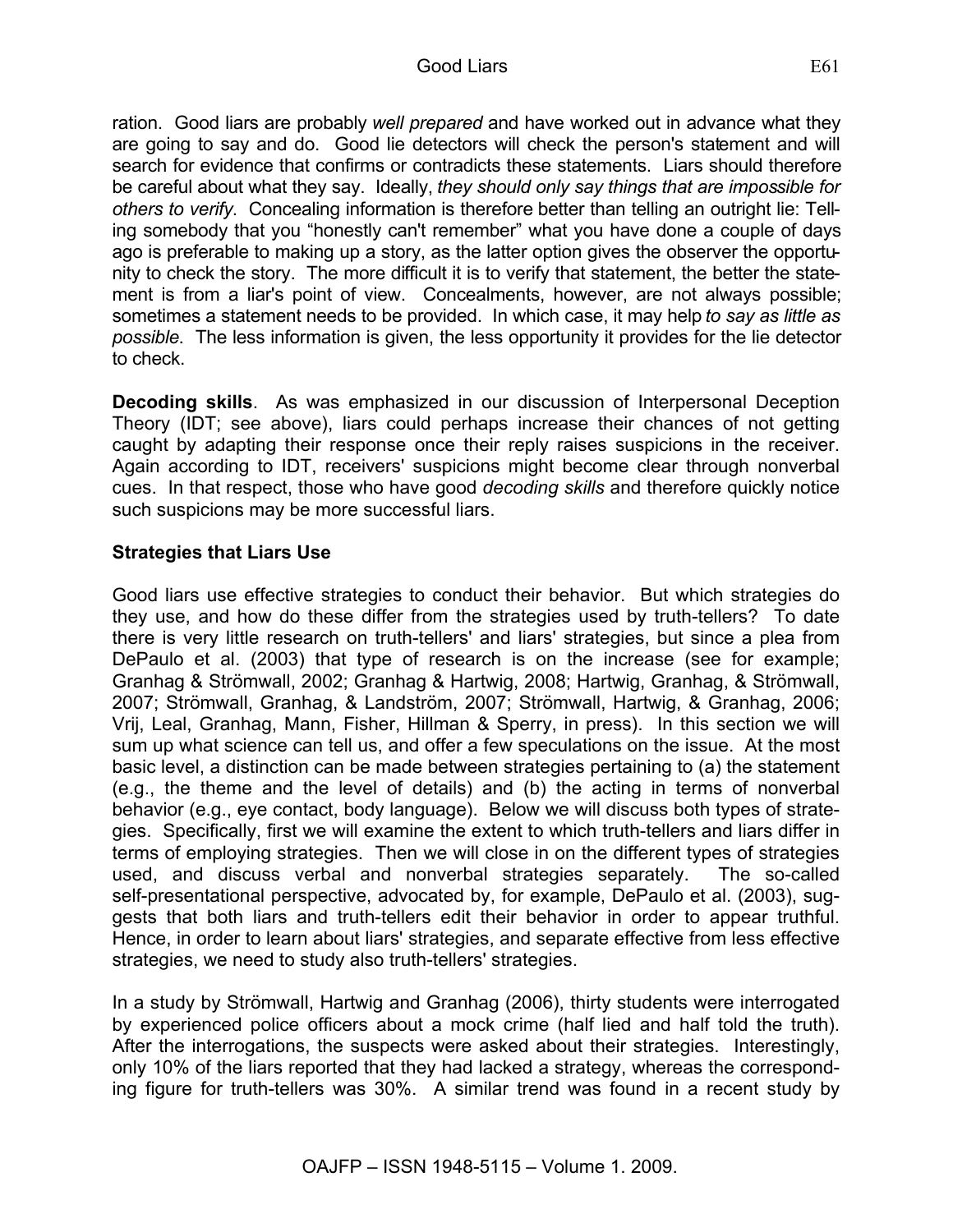ration. Good liars are probably *well prepared* and have worked out in advance what they are going to say and do. Good lie detectors will check the person's statement and will search for evidence that confirms or contradicts these statements. Liars should therefore be careful about what they say. Ideally, *they should only say things that are impossible for others to verify*. Concealing information is therefore better than telling an outright lie: Telling somebody that you "honestly can't remember" what you have done a couple of days ago is preferable to making up a story, as the latter option gives the observer the opportunity to check the story. The more difficult it is to verify that statement, the better the statement is from a liar's point of view. Concealments, however, are not always possible; sometimes a statement needs to be provided. In which case, it may help *to say as little as possible*. The less information is given, the less opportunity it provides for the lie detector to check.

**Decoding skills**. As was emphasized in our discussion of Interpersonal Deception Theory (IDT; see above), liars could perhaps increase their chances of not getting caught by adapting their response once their reply raises suspicions in the receiver. Again according to IDT, receivers' suspicions might become clear through nonverbal cues. In that respect, those who have good *decoding skills* and therefore quickly notice such suspicions may be more successful liars.

### **Strategies that Liars Use**

Good liars use effective strategies to conduct their behavior. But which strategies do they use, and how do these differ from the strategies used by truth-tellers? To date there is very little research on truth-tellers' and liars' strategies, but since a plea from DePaulo et al. (2003) that type of research is on the increase (see for example; Granhag & Strömwall, 2002; Granhag & Hartwig, 2008; Hartwig, Granhag, & Strömwall, 2007; Strömwall, Granhag, & Landström, 2007; Strömwall, Hartwig, & Granhag, 2006; Vrij, Leal, Granhag, Mann, Fisher, Hillman & Sperry, in press). In this section we will sum up what science can tell us, and offer a few speculations on the issue. At the most basic level, a distinction can be made between strategies pertaining to (a) the statement (e.g., the theme and the level of details) and (b) the acting in terms of nonverbal behavior (e.g., eye contact, body language). Below we will discuss both types of strategies. Specifically, first we will examine the extent to which truth-tellers and liars differ in terms of employing strategies. Then we will close in on the different types of strategies used, and discuss verbal and nonverbal strategies separately. The so-called self-presentational perspective, advocated by, for example, DePaulo et al. (2003), suggests that both liars and truth-tellers edit their behavior in order to appear truthful. Hence, in order to learn about liars' strategies, and separate effective from less effective strategies, we need to study also truth-tellers' strategies.

In a study by Strömwall, Hartwig and Granhag (2006), thirty students were interrogated by experienced police officers about a mock crime (half lied and half told the truth). After the interrogations, the suspects were asked about their strategies. Interestingly, only 10% of the liars reported that they had lacked a strategy, whereas the corresponding figure for truth-tellers was 30%. A similar trend was found in a recent study by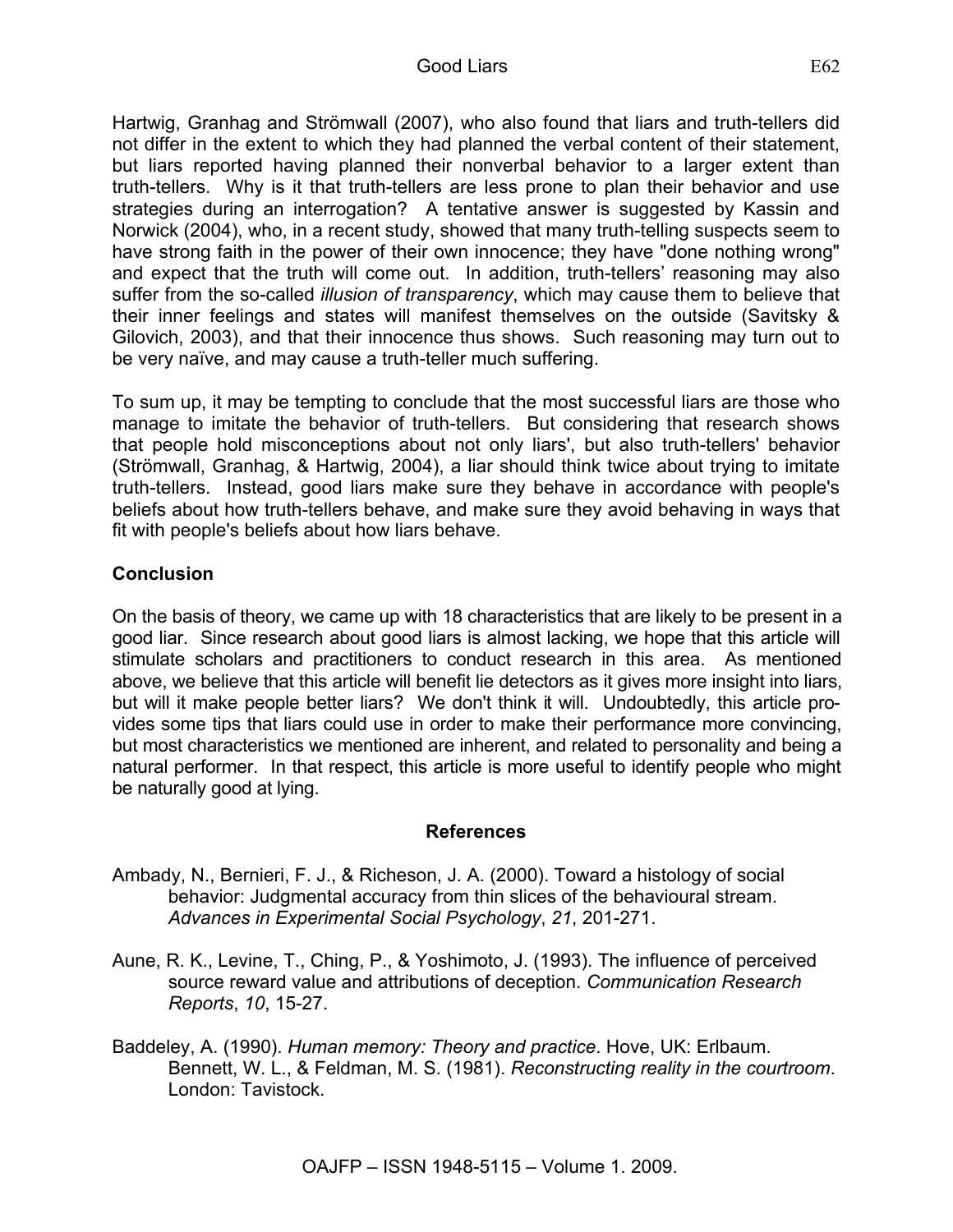Hartwig, Granhag and Strömwall (2007), who also found that liars and truth-tellers did not differ in the extent to which they had planned the verbal content of their statement, but liars reported having planned their nonverbal behavior to a larger extent than truth-tellers. Why is it that truth-tellers are less prone to plan their behavior and use strategies during an interrogation? A tentative answer is suggested by Kassin and Norwick (2004), who, in a recent study, showed that many truth-telling suspects seem to have strong faith in the power of their own innocence; they have "done nothing wrong" and expect that the truth will come out. In addition, truth-tellers' reasoning may also suffer from the so-called *illusion of transparency*, which may cause them to believe that their inner feelings and states will manifest themselves on the outside (Savitsky & Gilovich, 2003), and that their innocence thus shows. Such reasoning may turn out to be very naïve, and may cause a truth-teller much suffering.

To sum up, it may be tempting to conclude that the most successful liars are those who manage to imitate the behavior of truth-tellers. But considering that research shows that people hold misconceptions about not only liars', but also truth-tellers' behavior (Strömwall, Granhag, & Hartwig, 2004), a liar should think twice about trying to imitate truth-tellers. Instead, good liars make sure they behave in accordance with people's beliefs about how truth-tellers behave, and make sure they avoid behaving in ways that fit with people's beliefs about how liars behave.

### **Conclusion**

On the basis of theory, we came up with 18 characteristics that are likely to be present in a good liar. Since research about good liars is almost lacking, we hope that this article will stimulate scholars and practitioners to conduct research in this area. As mentioned above, we believe that this article will benefit lie detectors as it gives more insight into liars, but will it make people better liars? We don't think it will. Undoubtedly, this article provides some tips that liars could use in order to make their performance more convincing, but most characteristics we mentioned are inherent, and related to personality and being a natural performer. In that respect, this article is more useful to identify people who might be naturally good at lying.

#### **References**

- Ambady, N., Bernieri, F. J., & Richeson, J. A. (2000). Toward a histology of social behavior: Judgmental accuracy from thin slices of the behavioural stream. *Advances in Experimental Social Psychology*, *21*, 201-271.
- Aune, R. K., Levine, T., Ching, P., & Yoshimoto, J. (1993). The influence of perceived source reward value and attributions of deception. *Communication Research Reports*, *10*, 15-27.
- Baddeley, A. (1990). *Human memory: Theory and practice*. Hove, UK: Erlbaum. Bennett, W. L., & Feldman, M. S. (1981). *Reconstructing reality in the courtroom*. London: Tavistock.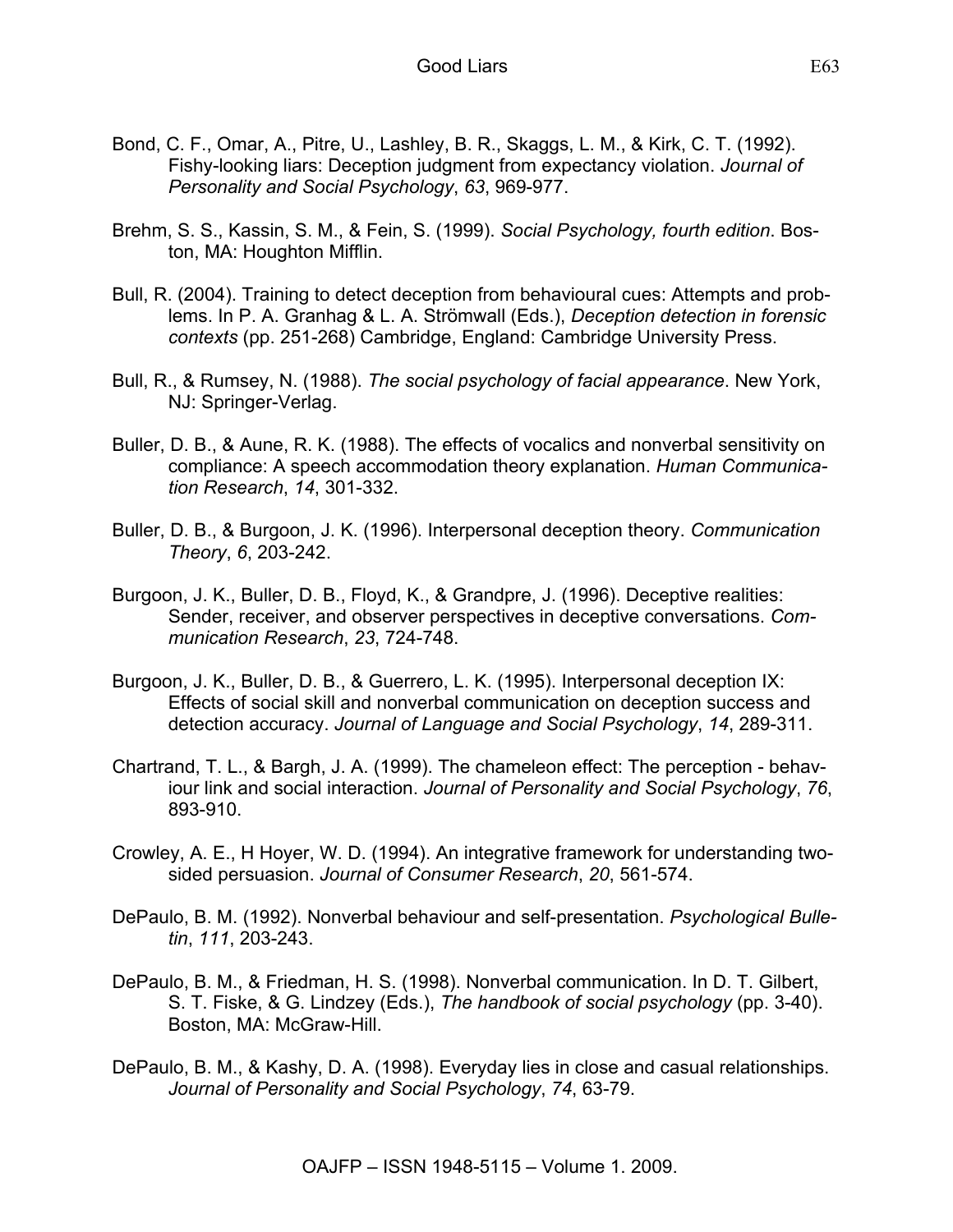- Bond, C. F., Omar, A., Pitre, U., Lashley, B. R., Skaggs, L. M., & Kirk, C. T. (1992). Fishy-looking liars: Deception judgment from expectancy violation. *Journal of Personality and Social Psychology*, *63*, 969-977.
- Brehm, S. S., Kassin, S. M., & Fein, S. (1999). *Social Psychology, fourth edition*. Boston, MA: Houghton Mifflin.
- Bull, R. (2004). Training to detect deception from behavioural cues: Attempts and problems. In P. A. Granhag & L. A. Strömwall (Eds.), *Deception detection in forensic contexts* (pp. 251-268) Cambridge, England: Cambridge University Press.
- Bull, R., & Rumsey, N. (1988). *The social psychology of facial appearance*. New York, NJ: Springer-Verlag.
- Buller, D. B., & Aune, R. K. (1988). The effects of vocalics and nonverbal sensitivity on compliance: A speech accommodation theory explanation. *Human Communication Research*, *14*, 301-332.
- Buller, D. B., & Burgoon, J. K. (1996). Interpersonal deception theory. *Communication Theory*, *6*, 203-242.
- Burgoon, J. K., Buller, D. B., Floyd, K., & Grandpre, J. (1996). Deceptive realities: Sender, receiver, and observer perspectives in deceptive conversations. *Communication Research*, *23*, 724-748.
- Burgoon, J. K., Buller, D. B., & Guerrero, L. K. (1995). Interpersonal deception IX: Effects of social skill and nonverbal communication on deception success and detection accuracy. *Journal of Language and Social Psychology*, *14*, 289-311.
- Chartrand, T. L., & Bargh, J. A. (1999). The chameleon effect: The perception behaviour link and social interaction. *Journal of Personality and Social Psychology*, *76*, 893-910.
- Crowley, A. E., H Hoyer, W. D. (1994). An integrative framework for understanding twosided persuasion. *Journal of Consumer Research*, *20*, 561-574.
- DePaulo, B. M. (1992). Nonverbal behaviour and self-presentation. *Psychological Bulletin*, *111*, 203-243.
- DePaulo, B. M., & Friedman, H. S. (1998). Nonverbal communication. In D. T. Gilbert, S. T. Fiske, & G. Lindzey (Eds.), *The handbook of social psychology* (pp. 3-40). Boston, MA: McGraw-Hill.
- DePaulo, B. M., & Kashy, D. A. (1998). Everyday lies in close and casual relationships. *Journal of Personality and Social Psychology*, *74*, 63-79.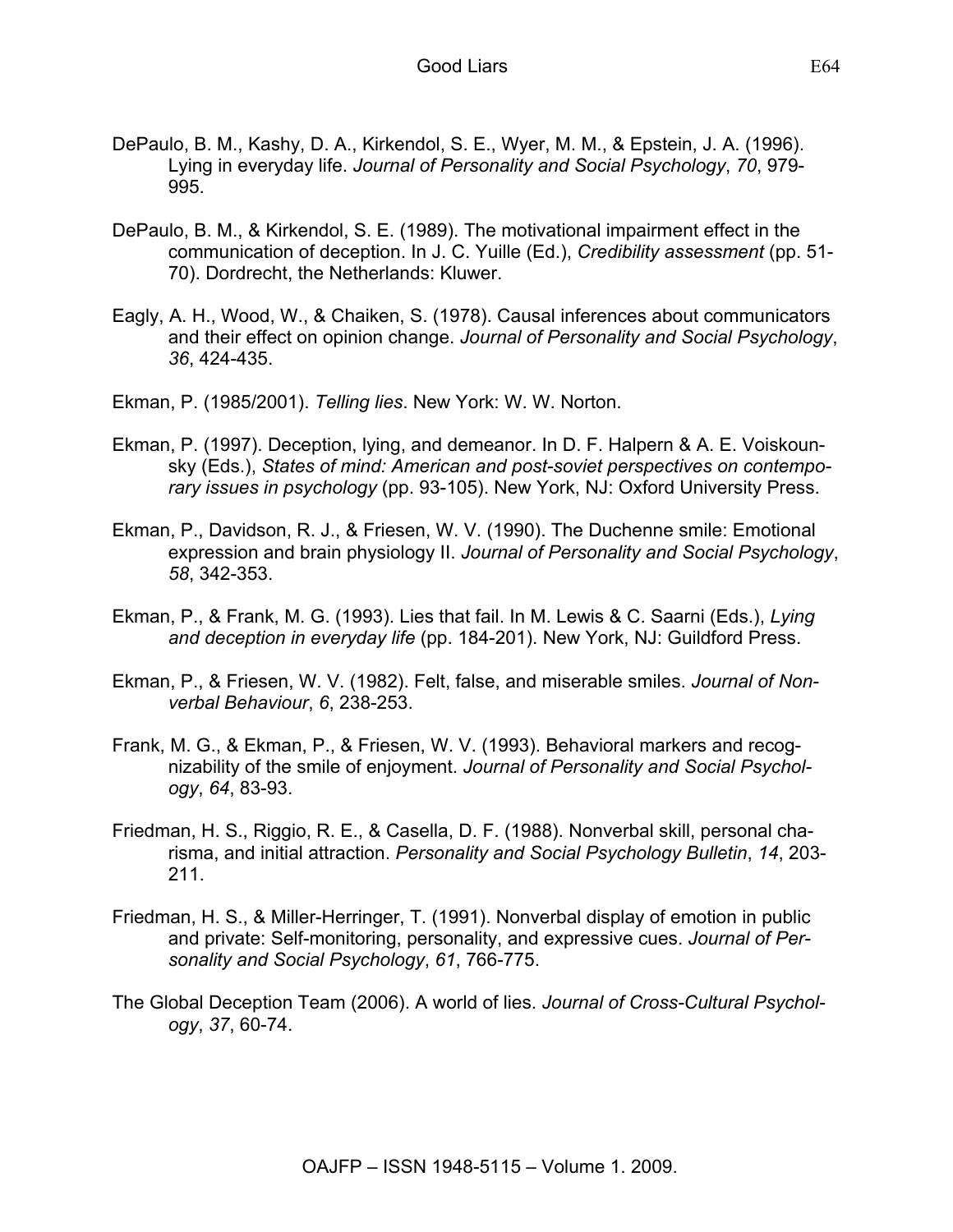- DePaulo, B. M., Kashy, D. A., Kirkendol, S. E., Wyer, M. M., & Epstein, J. A. (1996). Lying in everyday life. *Journal of Personality and Social Psychology*, *70*, 979- 995.
- DePaulo, B. M., & Kirkendol, S. E. (1989). The motivational impairment effect in the communication of deception. In J. C. Yuille (Ed.), *Credibility assessment* (pp. 51- 70). Dordrecht, the Netherlands: Kluwer.
- Eagly, A. H., Wood, W., & Chaiken, S. (1978). Causal inferences about communicators and their effect on opinion change. *Journal of Personality and Social Psychology*, *36*, 424-435.
- Ekman, P. (1985/2001). *Telling lies*. New York: W. W. Norton.
- Ekman, P. (1997). Deception, lying, and demeanor. In D. F. Halpern & A. E. Voiskounsky (Eds.), *States of mind: American and post-soviet perspectives on contemporary issues in psychology* (pp. 93-105). New York, NJ: Oxford University Press.
- Ekman, P., Davidson, R. J., & Friesen, W. V. (1990). The Duchenne smile: Emotional expression and brain physiology II. *Journal of Personality and Social Psychology*, *58*, 342-353.
- Ekman, P., & Frank, M. G. (1993). Lies that fail. In M. Lewis & C. Saarni (Eds.), *Lying and deception in everyday life* (pp. 184-201). New York, NJ: Guildford Press.
- Ekman, P., & Friesen, W. V. (1982). Felt, false, and miserable smiles. *Journal of Nonverbal Behaviour*, *6*, 238-253.
- Frank, M. G., & Ekman, P., & Friesen, W. V. (1993). Behavioral markers and recognizability of the smile of enjoyment. *Journal of Personality and Social Psychology*, *64*, 83-93.
- Friedman, H. S., Riggio, R. E., & Casella, D. F. (1988). Nonverbal skill, personal charisma, and initial attraction. *Personality and Social Psychology Bulletin*, *14*, 203- 211.
- Friedman, H. S., & Miller-Herringer, T. (1991). Nonverbal display of emotion in public and private: Self-monitoring, personality, and expressive cues. *Journal of Personality and Social Psychology*, *61*, 766-775.
- The Global Deception Team (2006). A world of lies. *Journal of Cross-Cultural Psychology*, *37*, 60-74.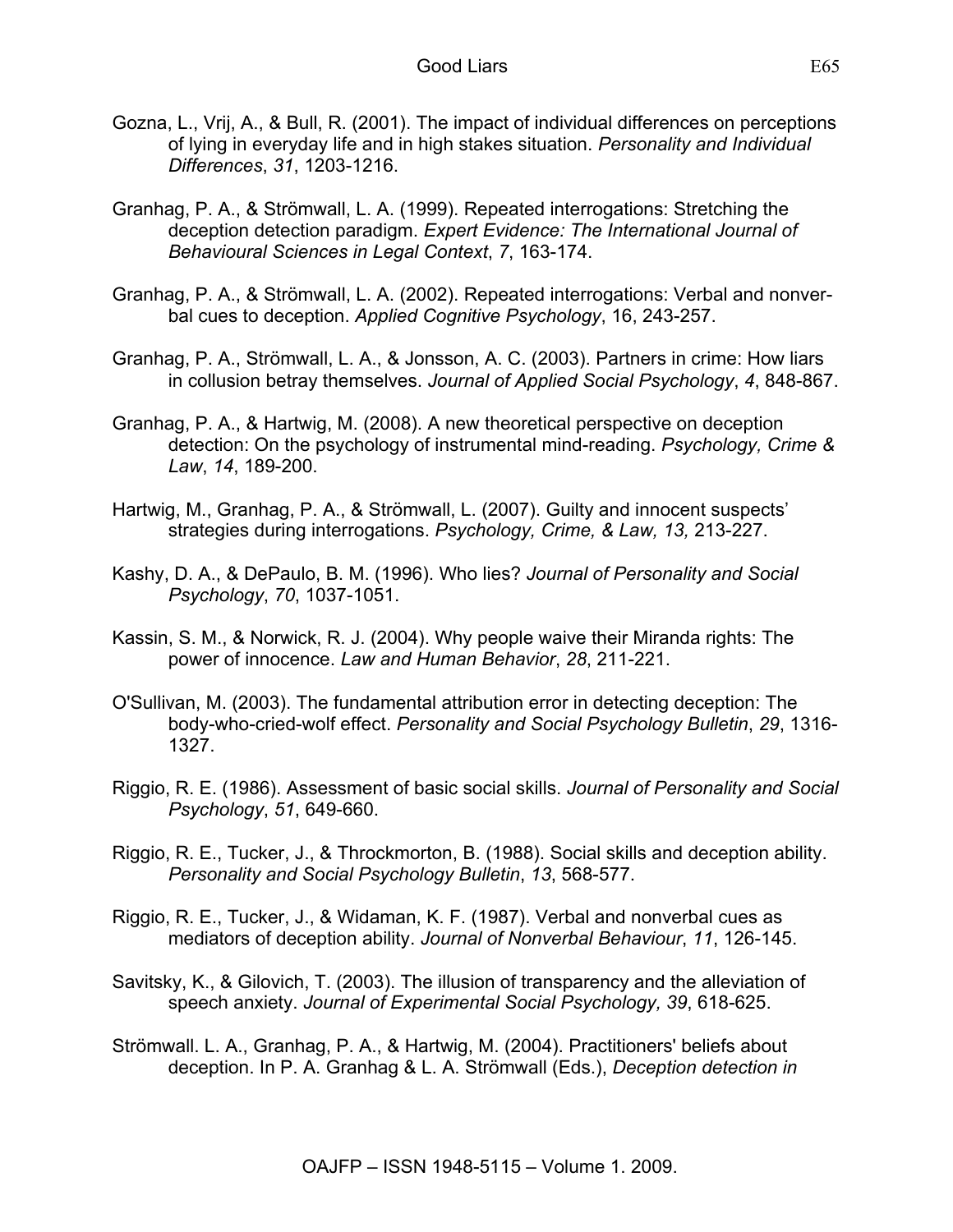- Gozna, L., Vrij, A., & Bull, R. (2001). The impact of individual differences on perceptions of lying in everyday life and in high stakes situation. *Personality and Individual Differences*, *31*, 1203-1216.
- Granhag, P. A., & Strömwall, L. A. (1999). Repeated interrogations: Stretching the deception detection paradigm. *Expert Evidence: The International Journal of Behavioural Sciences in Legal Context*, *7*, 163-174.
- Granhag, P. A., & Strömwall, L. A. (2002). Repeated interrogations: Verbal and nonverbal cues to deception. *Applied Cognitive Psychology*, 16, 243-257.
- Granhag, P. A., Strömwall, L. A., & Jonsson, A. C. (2003). Partners in crime: How liars in collusion betray themselves. *Journal of Applied Social Psychology*, *4*, 848-867.
- Granhag, P. A., & Hartwig, M. (2008). A new theoretical perspective on deception detection: On the psychology of instrumental mind-reading. *Psychology, Crime & Law*, *14*, 189-200.
- Hartwig, M., Granhag, P. A., & Strömwall, L. (2007). Guilty and innocent suspects' strategies during interrogations. *Psychology, Crime, & Law, 13,* 213-227.
- Kashy, D. A., & DePaulo, B. M. (1996). Who lies? *Journal of Personality and Social Psychology*, *70*, 1037-1051.
- Kassin, S. M., & Norwick, R. J. (2004). Why people waive their Miranda rights: The power of innocence. *Law and Human Behavior*, *28*, 211-221.
- O'Sullivan, M. (2003). The fundamental attribution error in detecting deception: The body-who-cried-wolf effect. *Personality and Social Psychology Bulletin*, *29*, 1316- 1327.
- Riggio, R. E. (1986). Assessment of basic social skills. *Journal of Personality and Social Psychology*, *51*, 649-660.
- Riggio, R. E., Tucker, J., & Throckmorton, B. (1988). Social skills and deception ability. *Personality and Social Psychology Bulletin*, *13*, 568-577.
- Riggio, R. E., Tucker, J., & Widaman, K. F. (1987). Verbal and nonverbal cues as mediators of deception ability. *Journal of Nonverbal Behaviour*, *11*, 126-145.
- Savitsky, K., & Gilovich, T. (2003). The illusion of transparency and the alleviation of speech anxiety. *Journal of Experimental Social Psychology, 39*, 618-625.
- Strömwall. L. A., Granhag, P. A., & Hartwig, M. (2004). Practitioners' beliefs about deception. In P. A. Granhag & L. A. Strömwall (Eds.), *Deception detection in*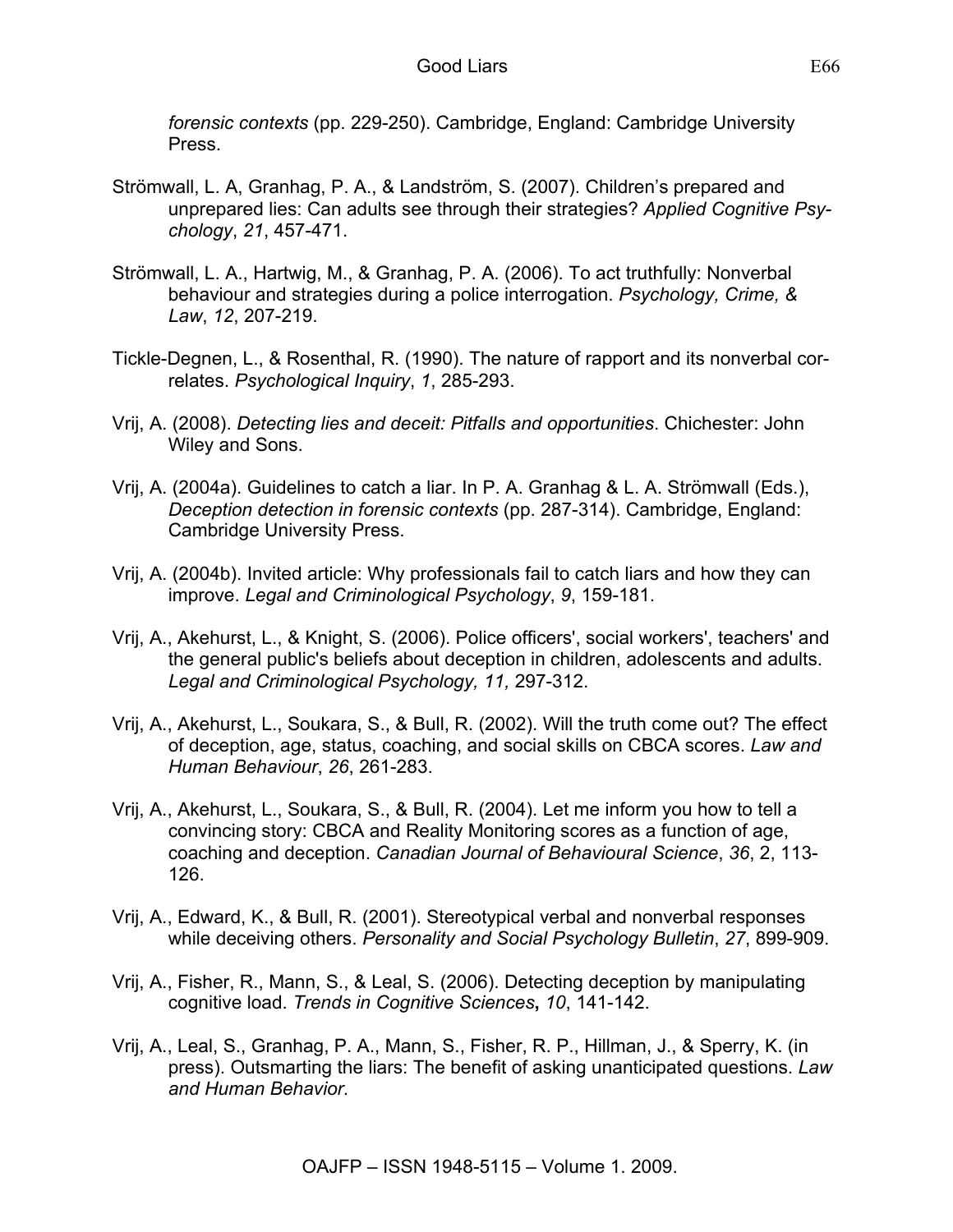*forensic contexts* (pp. 229-250). Cambridge, England: Cambridge University Press.

- Strömwall, L. A, Granhag, P. A., & Landström, S. (2007). Children's prepared and unprepared lies: Can adults see through their strategies? *Applied Cognitive Psychology*, *21*, 457-471.
- Strömwall, L. A., Hartwig, M., & Granhag, P. A. (2006). To act truthfully: Nonverbal behaviour and strategies during a police interrogation. *Psychology, Crime, & Law*, *12*, 207-219.
- Tickle-Degnen, L., & Rosenthal, R. (1990). The nature of rapport and its nonverbal correlates. *Psychological Inquiry*, *1*, 285-293.
- Vrij, A. (2008). *Detecting lies and deceit: Pitfalls and opportunities*. Chichester: John Wiley and Sons.
- Vrij, A. (2004a). Guidelines to catch a liar. In P. A. Granhag & L. A. Strömwall (Eds.), *Deception detection in forensic contexts* (pp. 287-314). Cambridge, England: Cambridge University Press.
- Vrij, A. (2004b). Invited article: Why professionals fail to catch liars and how they can improve. *Legal and Criminological Psychology*, *9*, 159-181.
- Vrij, A., Akehurst, L., & Knight, S. (2006). Police officers', social workers', teachers' and the general public's beliefs about deception in children, adolescents and adults. *Legal and Criminological Psychology, 11,* 297-312.
- Vrij, A., Akehurst, L., Soukara, S., & Bull, R. (2002). Will the truth come out? The effect of deception, age, status, coaching, and social skills on CBCA scores. *Law and Human Behaviour*, *26*, 261-283.
- Vrij, A., Akehurst, L., Soukara, S., & Bull, R. (2004). Let me inform you how to tell a convincing story: CBCA and Reality Monitoring scores as a function of age, coaching and deception. *Canadian Journal of Behavioural Science*, *36*, 2, 113- 126.
- Vrij, A., Edward, K., & Bull, R. (2001). Stereotypical verbal and nonverbal responses while deceiving others. *Personality and Social Psychology Bulletin*, *27*, 899-909.
- Vrij, A., Fisher, R., Mann, S., & Leal, S. (2006). Detecting deception by manipulating cognitive load. *Trends in Cognitive Sciences***,** *10*, 141-142.
- Vrij, A., Leal, S., Granhag, P. A., Mann, S., Fisher, R. P., Hillman, J., & Sperry, K. (in press). Outsmarting the liars: The benefit of asking unanticipated questions. *Law and Human Behavior.*